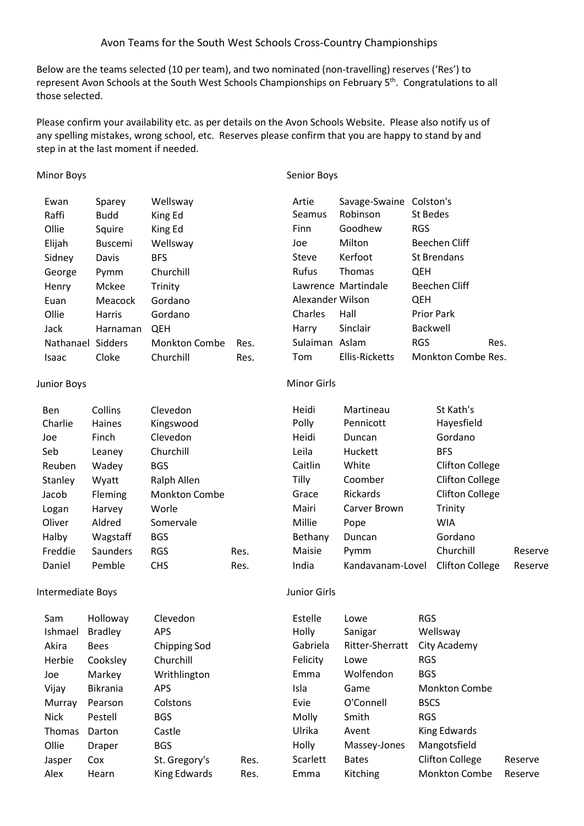## Avon Teams for the South West Schools Cross-Country Championships

Below are the teams selected (10 per team), and two nominated (non-travelling) reserves ('Res') to represent Avon Schools at the South West Schools Championships on February 5<sup>th</sup>. Congratulations to all those selected.

Please confirm your availability etc. as per details on the Avon Schools Website. Please also notify us of any spelling mistakes, wrong school, etc. Reserves please confirm that you are happy to stand by and step in at the last moment if needed.

## Minor Boys

Senior Boys

| Ewan<br>Raffi     | Sparey<br><b>Budd</b> | Wellsway<br>King Ed |      | Artie<br>Seamus  | Savage-Swaine Colston's<br>Robinson | St Bedes           |      |
|-------------------|-----------------------|---------------------|------|------------------|-------------------------------------|--------------------|------|
| Ollie             | Squire                | King Ed             |      | Finn             | Goodhew                             | <b>RGS</b>         |      |
| Elijah            | <b>Buscemi</b>        | Wellsway            |      | Joe              | Milton                              | Beechen Cliff      |      |
| Sidney            | Davis                 | <b>BFS</b>          |      | Steve            | Kerfoot                             | St Brendans        |      |
| George            | Pymm                  | Churchill           |      | <b>Rufus</b>     | <b>Thomas</b>                       | <b>QEH</b>         |      |
| Henry             | Mckee                 | Trinity             |      |                  | Lawrence Martindale                 | Beechen Cliff      |      |
| Euan              | Meacock               | Gordano             |      | Alexander Wilson |                                     | <b>QEH</b>         |      |
| Ollie             | Harris                | Gordano             |      | Charles          | Hall                                | <b>Prior Park</b>  |      |
| Jack              | Harnaman              | <b>QEH</b>          |      | Harry            | Sinclair                            | Backwell           |      |
| Nathanael Sidders |                       | Monkton Combe       | Res. | Sulaiman Aslam   |                                     | <b>RGS</b>         | Res. |
| Isaac             | Cloke                 | Churchill           | Res. | Tom              | <b>Ellis-Ricketts</b>               | Monkton Combe Res. |      |
|                   |                       |                     |      |                  |                                     |                    |      |

## Junior Boys

| Ben     | Collins  | Clevedon      |      |
|---------|----------|---------------|------|
| Charlie | Haines   | Kingswood     |      |
| Joe     | Finch    | Clevedon      |      |
| Seb     | Leaney   | Churchill     |      |
| Reuben  | Wadey    | BGS           |      |
| Stanley | Wyatt    | Ralph Allen   |      |
| Jacob   | Fleming  | Monkton Combe |      |
| Logan   | Harvey   | Worle         |      |
| Oliver  | Aldred   | Somervale     |      |
| Halby   | Wagstaff | BGS           |      |
| Freddie | Saunders | RGS           | Res. |
| Daniel  | Pemble   | CHS           | Res. |

# Minor Girls

| Heidi   | Martineau        | St Kath's              |         |
|---------|------------------|------------------------|---------|
| Polly   | Pennicott        | Hayesfield             |         |
| Heidi   | Duncan           | Gordano                |         |
| Leila   | Huckett          | <b>BFS</b>             |         |
| Caitlin | White            | <b>Clifton College</b> |         |
| Tilly   | Coomber          | <b>Clifton College</b> |         |
| Grace   | <b>Rickards</b>  | <b>Clifton College</b> |         |
| Mairi   | Carver Brown     | Trinity                |         |
| Millie  | Pope             | WIA                    |         |
| Bethany | Duncan           | Gordano                |         |
| Maisie  | Pymm             | Churchill              | Reserve |
| India   | Kandavanam-Lovel | <b>Clifton College</b> | Reserve |
|         |                  |                        |         |

#### Intermediate Boys

Junior Girls

| Sam           | Holloway        | Clevedon            |      | Estelle  | Lowe            | <b>RGS</b>             |         |
|---------------|-----------------|---------------------|------|----------|-----------------|------------------------|---------|
| Ishmael       | <b>Bradley</b>  | APS                 |      | Holly    | Sanigar         | Wellsway               |         |
| Akira         | <b>Bees</b>     | Chipping Sod        |      | Gabriela | Ritter-Sherratt | City Academy           |         |
| Herbie        | Cooksley        | Churchill           |      | Felicity | Lowe            | <b>RGS</b>             |         |
| Joe           | Markey          | Writhlington        |      | Emma     | Wolfendon       | <b>BGS</b>             |         |
| Vijay         | <b>Bikrania</b> | <b>APS</b>          |      | Isla     | Game            | <b>Monkton Combe</b>   |         |
| Murray        | Pearson         | Colstons            |      | Evie     | O'Connell       | <b>BSCS</b>            |         |
| Nick          | Pestell         | <b>BGS</b>          |      | Molly    | Smith           | <b>RGS</b>             |         |
| <b>Thomas</b> | Darton          | Castle              |      | Ulrika   | Avent           | King Edwards           |         |
| Ollie         | <b>Draper</b>   | <b>BGS</b>          |      | Holly    | Massey-Jones    | Mangotsfield           |         |
| Jasper        | Cox             | St. Gregory's       | Res. | Scarlett | <b>Bates</b>    | <b>Clifton College</b> | Reserve |
| Alex          | Hearn           | <b>King Edwards</b> | Res. | Emma     | Kitching        | <b>Monkton Combe</b>   | Reserve |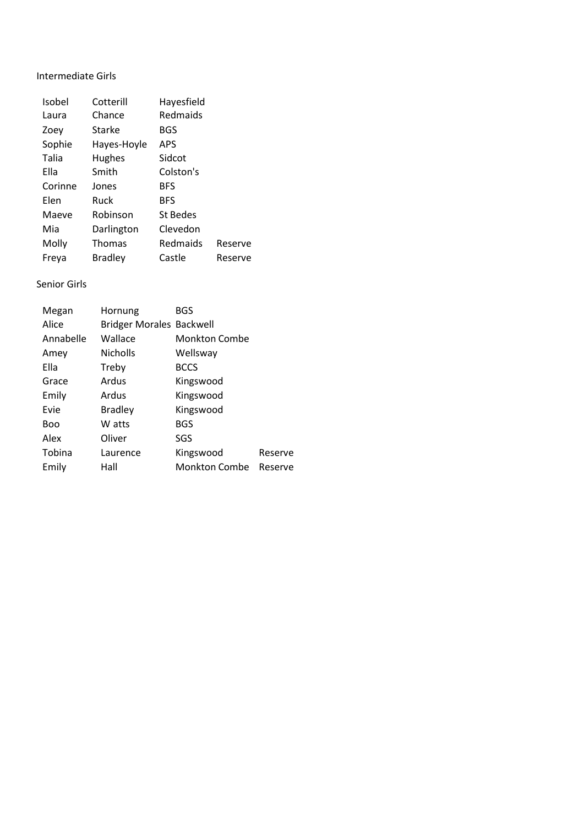# Intermediate Girls

| Isobel  | Cotterill     | Hayesfield |         |
|---------|---------------|------------|---------|
| Laura   | Chance        | Redmaids   |         |
| Zoey    | Starke        | BGS        |         |
| Sophie  | Hayes-Hoyle   | <b>APS</b> |         |
| Talia   | Hughes        | Sidcot     |         |
| Ella    | Smith         | Colston's  |         |
| Corinne | Jones         | <b>BFS</b> |         |
| Elen    | Ruck          | <b>BFS</b> |         |
| Maeve   | Robinson      | St Bedes   |         |
| Mia     | Darlington    | Clevedon   |         |
| Molly   | <b>Thomas</b> | Redmaids   | Reserve |
| Freya   | Bradley       | Castle     | Reserve |

## Senior Girls

| Megan      | Hornung                         | <b>BGS</b>           |         |
|------------|---------------------------------|----------------------|---------|
| Alice      | <b>Bridger Morales Backwell</b> |                      |         |
| Annabelle  | Wallace                         | <b>Monkton Combe</b> |         |
| Amey       | <b>Nicholls</b>                 | Wellsway             |         |
| Ella       | Treby                           | <b>BCCS</b>          |         |
| Grace      | Ardus                           | Kingswood            |         |
| Emily      | Ardus                           | Kingswood            |         |
| Evie       | <b>Bradley</b>                  | Kingswood            |         |
| <b>Boo</b> | W atts                          | <b>BGS</b>           |         |
| Alex       | Oliver                          | SGS                  |         |
| Tobina     | Laurence                        | Kingswood            | Reserve |
| Emily      | Hall                            | Monkton Combe        | Reserve |